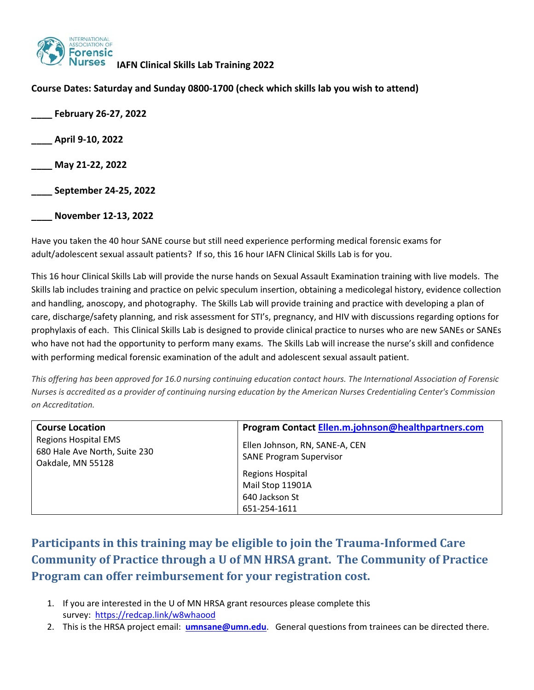

#### **Course Dates: Saturday and Sunday 0800‐1700 (check which skills lab you wish to attend)**

**\_\_\_\_ February 26‐27, 2022 \_\_\_\_ April 9‐10, 2022 \_\_\_\_ May 21‐22, 2022** 

**\_\_\_\_ September 24‐25, 2022** 

**\_\_\_\_ November 12‐13, 2022** 

Have you taken the 40 hour SANE course but still need experience performing medical forensic exams for adult/adolescent sexual assault patients? If so, this 16 hour IAFN Clinical Skills Lab is for you.

This 16 hour Clinical Skills Lab will provide the nurse hands on Sexual Assault Examination training with live models. The Skills lab includes training and practice on pelvic speculum insertion, obtaining a medicolegal history, evidence collection and handling, anoscopy, and photography. The Skills Lab will provide training and practice with developing a plan of care, discharge/safety planning, and risk assessment for STI's, pregnancy, and HIV with discussions regarding options for prophylaxis of each. This Clinical Skills Lab is designed to provide clinical practice to nurses who are new SANEs or SANEs who have not had the opportunity to perform many exams. The Skills Lab will increase the nurse's skill and confidence with performing medical forensic examination of the adult and adolescent sexual assault patient.

*This offering has been approved for 16.0 nursing continuing education contact hours. The International Association of Forensic Nurses is accredited as a provider of continuing nursing education by the American Nurses Credentialing Center's Commission on Accreditation.* 

| <b>Course Location</b>                                                            | Program Contact Ellen.m.johnson@healthpartners.com               |
|-----------------------------------------------------------------------------------|------------------------------------------------------------------|
| <b>Regions Hospital EMS</b><br>680 Hale Ave North, Suite 230<br>Oakdale, MN 55128 | Ellen Johnson, RN, SANE-A, CEN<br><b>SANE Program Supervisor</b> |
|                                                                                   | <b>Regions Hospital</b>                                          |
|                                                                                   | Mail Stop 11901A                                                 |
|                                                                                   | 640 Jackson St                                                   |
|                                                                                   | 651-254-1611                                                     |

# **Participants in this training may be eligible to join the Trauma‐Informed Care Community of Practice through a U of MN HRSA grant. The Community of Practice Program can offer reimbursement for your registration cost.**

- 1. If you are interested in the U of MN HRSA grant resources please complete this survey: https://redcap.link/w8whaood
- 2. This is the HRSA project email: **umnsane@umn.edu**. General questions from trainees can be directed there.